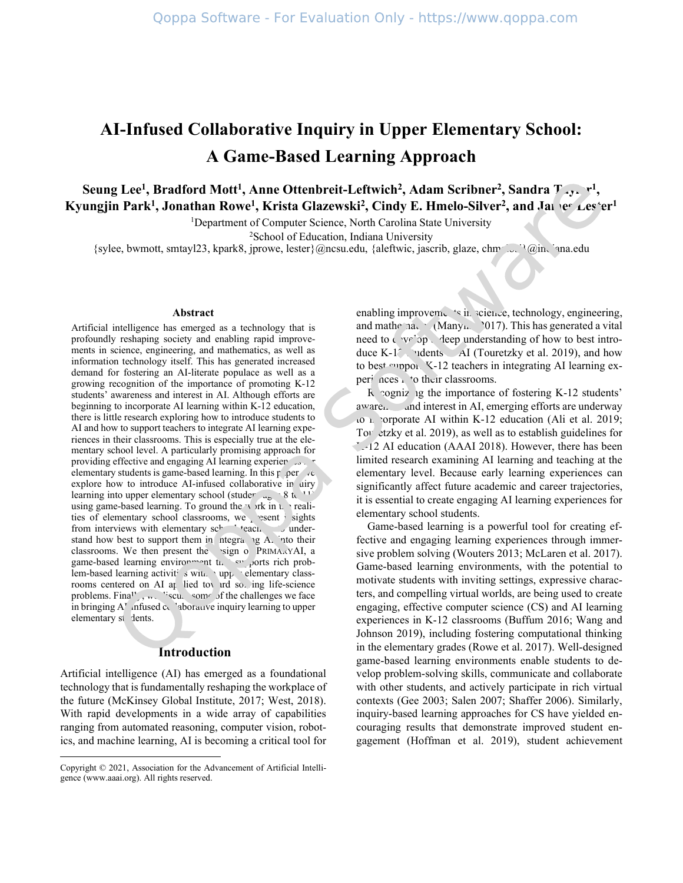# **AI-Infused Collaborative Inquiry in Upper Elementary School: A Game-Based Learning Approach**

**Seung Lee<sup>1</sup>, Bradford Mott<sup>1</sup>, Anne Ottenbreit-Leftwich<sup>2</sup>, Adam Scribner<sup>2</sup>, Sandra**  $T_{xy}$ **, <sup>1</sup>,** Kyungjin Park<sup>1</sup>, Jonathan Rowe<sup>1</sup>, Krista Glazewski<sup>2</sup>, Cindy E. Hmelo-Silver<sup>2</sup>, and James Lester<sup>1</sup>

<sup>1</sup>Department of Computer Science, North Carolina State University

<sup>2</sup>School of Education, Indiana University

{sylee, bwmott, smtayl23, kpark8, jprowe, lester}@ncsu.edu, {aleftwic, jascrib, glaze, chm

#### **Abstract**

Artificial intelligence has emerged as a technology that is profoundly reshaping society and enabling rapid improvements in science, engineering, and mathematics, as well as information technology itself. This has generated increased demand for fostering an AI-literate populace as well as a growing recognition of the importance of promoting K-12 students' awareness and interest in AI. Although efforts are beginning to incorporate AI learning within K-12 education, there is little research exploring how to introduce students to AI and how to support teachers to integrate AI learning experiences in their classrooms. This is especially true at the elementary school level. A particularly promising approach for providing effective and engaging AI learning experiences.  $\cdot$ elementary students is game-based learning. In this  $p_{\text{per}}$  /e explore how to introduce AI-infused collaborative in uiry learning into upper elementary school (studer  $\mu_{\rm g}$  8 to 11) using game-based learning. To ground the  $\rightarrow$  ork in the realities of elementary school classrooms, we present insights from interviews with elementary  $\text{sc}^1$  teach to understand how best to support them in integrating A<sub>1</sub> into their classrooms. We then present the sign of PRIMARYAI, a game-based learning environment that supports rich problem-based learning activities with upper elementary classrooms centered on AI applied toward solving life-science problems. Finally, we discuss some of the challenges we face in bringing  $A<sup>T</sup>$  infused collaborative inquiry learning to upper elementary st dents.

#### **Introduction**

Artificial intelligence (AI) has emerged as a foundational technology that is fundamentally reshaping the workplace of the future (McKinsey Global Institute, 2017; West, 2018). With rapid developments in a wide array of capabilities ranging from automated reasoning, computer vision, robotics, and machine learning, AI is becoming a critical tool for

enabling improvements in science, technology, engineering, and mathematic (Manyika 2017). This has generated a vital need to develop a deep understanding of how to best introduce K-1 $\degree$ , indents AI (Touretzky et al. 2019), and how to best support K-12 teachers in integrating AI learning experi nees it to their classrooms.

 $R$  cogniz ig the importance of fostering K-12 students' aware. and interest in AI, emerging efforts are underway to  $\mu$  corporate AI within K-12 education (Ali et al. 2019; Tour etzky et al. 2019), as well as to establish guidelines for  $\sim$ -12 AI education (AAAI 2018). However, there has been limited research examining AI learning and teaching at the elementary level. Because early learning experiences can significantly affect future academic and career trajectories, it is essential to create engaging AI learning experiences for elementary school students.

Game-based learning is a powerful tool for creating effective and engaging learning experiences through immersive problem solving (Wouters 2013; McLaren et al. 2017). Game-based learning environments, with the potential to motivate students with inviting settings, expressive characters, and compelling virtual worlds, are being used to create engaging, effective computer science (CS) and AI learning experiences in K-12 classrooms (Buffum 2016; Wang and Johnson 2019), including fostering computational thinking in the elementary grades (Rowe et al. 2017). Well-designed game-based learning environments enable students to develop problem-solving skills, communicate and collaborate with other students, and actively participate in rich virtual contexts (Gee 2003; Salen 2007; Shaffer 2006). Similarly, inquiry-based learning approaches for CS have yielded encouraging results that demonstrate improved student engagement (Hoffman et al. 2019), student achievement

Copyright © 2021, Association for the Advancement of Artificial Intelligence (www.aaai.org). All rights reserved.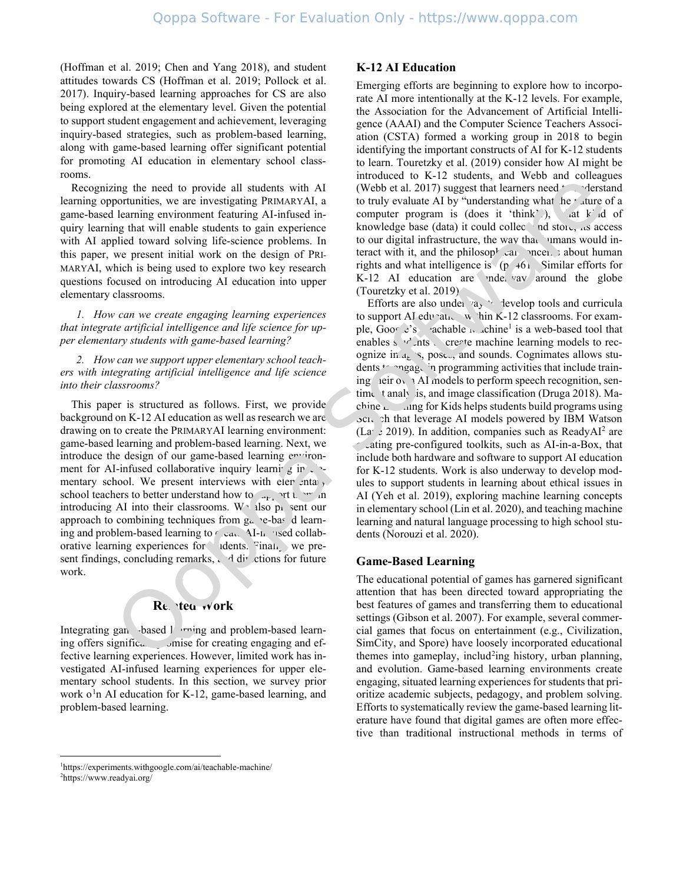(Hoffman et al. 2019; Chen and Yang 2018), and student attitudes towards CS (Hoffman et al. 2019; Pollock et al. 2017). Inquiry-based learning approaches for CS are also being explored at the elementary level. Given the potential to support student engagement and achievement, leveraging inquiry-based strategies, such as problem-based learning, along with game-based learning offer significant potential for promoting AI education in elementary school classrooms.

Recognizing the need to provide all students with AI learning opportunities, we are investigating PRIMARYAI, a game-based learning environment featuring AI-infused inquiry learning that will enable students to gain experience with AI applied toward solving life-science problems. In this paper, we present initial work on the design of PRI-MARYAI, which is being used to explore two key research questions focused on introducing AI education into upper elementary classrooms.

*1. How can we create engaging learning experiences that integrate artificial intelligence and life science for upper elementary students with game-based learning?*

*2. How can we support upper elementary school teachers with integrating artificial intelligence and life science into their classrooms?*

This paper is structured as follows. First, we provide background on K-12 AI education as well as research we are drawing on to create the PRIMARYAI learning environment: game-based learning and problem-based learning. Next, we introduce the design of our game-based learning environment for AI-infused collaborative inquiry learning in  $\epsilon$ . mentary school. We present interviews with elementary school teachers to better understand how to  $\mathcal{L}_{\text{max}}$  ort the minimal introducing AI into their classrooms. We also present our approach to combining techniques from  $g_a$  'e-based learning and problem-based learning to  $\ell$  can. AI-infused collaborative learning experiences for idents. Finally, we present findings, concluding remarks,  $\lambda$  directions for future work.

## Re. tea work

Integrating gan based learning and problem-based learning offers significa. Jonise for creating engaging and effective learning experiences. However, limited work has investigated AI-infused learning experiences for upper elementary school students. In this section, we survey prior work o<sup>[1](#page-1-0)</sup>n AI education for K-12, game-based learning, and problem-based learning.

## **K-12 AI Education**

Emerging efforts are beginning to explore how to incorporate AI more intentionally at the K-12 levels. For example, the Association for the Advancement of Artificial Intelligence (AAAI) and the Computer Science Teachers Association (CSTA) formed a working group in 2018 to begin identifying the important constructs of AI for K-12 students to learn. Touretzky et al. (2019) consider how AI might be introduced to K-12 students, and Webb and colleagues (Webb et al. 2017) suggest that learners need  $\sim$  derstand to truly evaluate AI by "understanding what he rature of a computer program is (does it 'think'), at k d of knowledge base (data) it could collect and store, its access to our digital infrastructure, the way that humans would interact with it, and the philosop<sup>1</sup> can neer shout human rights and what intelligence is  $(p. 461)$ . Similar efforts for  $K-12$  AI education are inderway around the globe (Touretzky et al. 2019).

Efforts are also under  $\alpha_1$  tevelop tools and curricula to support AJ education within K-12 classrooms. For example, Google's eachable  $\mu$  achine<sup>1</sup> is a web-based tool that enables s  $v^2$  nts. create machine learning models to recognize in  $a_k$  s, pose., and sounds. Cognimates allows students to programming activities that include training teir own AI models to perform speech recognition, sentiment analysis, and image classification (Druga 2018). Machine  $\mathcal{L}_{\text{m}}$  and for Kids helps students build programs using Scr. ch that leverage AI models powered by IBM Watson (Lange 2019). In addition, companies such as ReadyAI<sup>2</sup> are cating pre-configured toolkits, such as AI-in-a-Box, that include both hardware and software to support AI education for K-12 students. Work is also underway to develop modules to support students in learning about ethical issues in AI (Yeh et al. 2019), exploring machine learning concepts in elementary school (Lin et al. 2020), and teaching machine learning and natural language processing to high school students (Norouzi et al. 2020).

## **Game-Based Learning**

The educational potential of games has garnered significant attention that has been directed toward appropriating the best features of games and transferring them to educational settings (Gibson et al. 2007). For example, several commercial games that focus on entertainment (e.g., Civilization, SimCity, and Spore) have loosely incorporated educational themes into gameplay, includ<sup>[2](#page-1-1)</sup>ing history, urban planning, and evolution. Game-based learning environments create engaging, situated learning experiences for students that prioritize academic subjects, pedagogy, and problem solving. Efforts to systematically review the game-based learning literature have found that digital games are often more effective than traditional instructional methods in terms of

<span id="page-1-1"></span><span id="page-1-0"></span><sup>1</sup> https://experiments.withgoogle.com/ai/teachable-machine/ <sup>2</sup>https://www.readyai.org/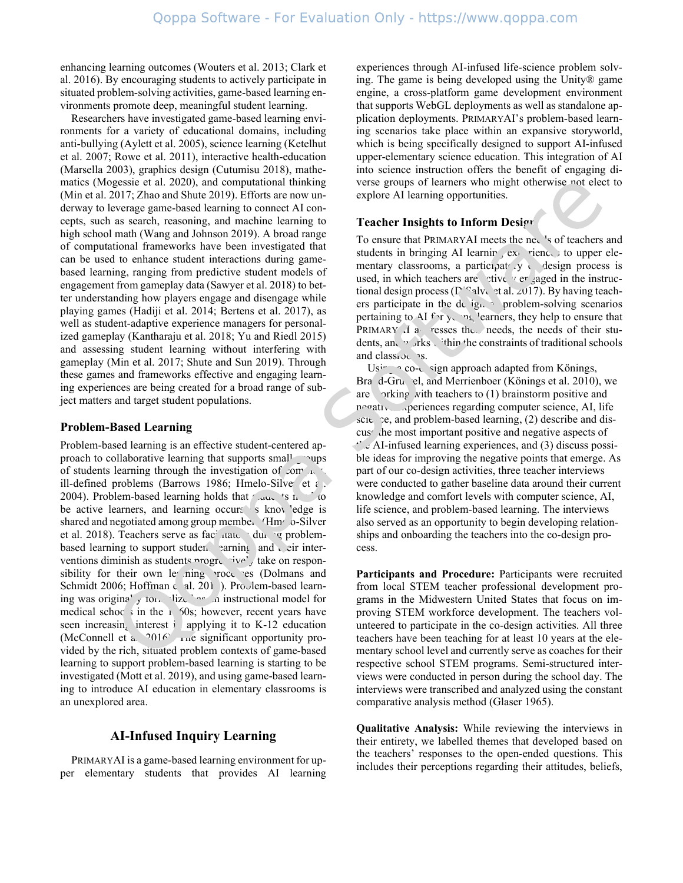enhancing learning outcomes (Wouters et al. 2013; Clark et al. 2016). By encouraging students to actively participate in situated problem-solving activities, game-based learning environments promote deep, meaningful student learning.

Researchers have investigated game-based learning environments for a variety of educational domains, including anti-bullying (Aylett et al. 2005), science learning (Ketelhut et al. 2007; Rowe et al. 2011), interactive health-education (Marsella 2003), graphics design (Cutumisu 2018), mathematics (Mogessie et al. 2020), and computational thinking (Min et al. 2017; Zhao and Shute 2019). Efforts are now underway to leverage game-based learning to connect AI concepts, such as search, reasoning, and machine learning to high school math (Wang and Johnson 2019). A broad range of computational frameworks have been investigated that can be used to enhance student interactions during gamebased learning, ranging from predictive student models of engagement from gameplay data (Sawyer et al. 2018) to better understanding how players engage and disengage while playing games (Hadiji et al. 2014; Bertens et al. 2017), as well as student-adaptive experience managers for personalized gameplay (Kantharaju et al. 2018; Yu and Riedl 2015) and assessing student learning without interfering with gameplay (Min et al. 2017; Shute and Sun 2019). Through these games and frameworks effective and engaging learning experiences are being created for a broad range of subject matters and target student populations.

#### **Problem-Based Learning**

Problem-based learning is an effective student-centered approach to collaborative learning that supports small groups of students learning through the investigation of complex  $\sim$ ill-defined problems (Barrows 1986; Hmelo-Silver et al. 2004). Problem-based learning holds that students in  $\sim$  to be active learners, and learning occurs s knowledge is shared and negotiated among group members (Hmelo-Silver et al. 2018). Teachers serve as facilitators during problembased learning to support student earning, and their interventions diminish as students progressively take on responsibility for their own learning process (Dolmans and Schmidt 2006; Hoffman e al. 201). Problem-based learning was originally formalized as an instructional model for medical schools in the  $1\,$  50s; however, recent years have seen increasing interest in applying it to K-12 education (McConnell et a.  $2016$ ) The significant opportunity provided by the rich, situated problem contexts of game-based learning to support problem-based learning is starting to be investigated (Mott et al. 2019), and using game-based learning to introduce AI education in elementary classrooms is an unexplored area.

## **AI-Infused Inquiry Learning**

PRIMARYAI is a game-based learning environment for upper elementary students that provides AI learning experiences through AI-infused life-science problem solving. The game is being developed using the Unity® game engine, a cross-platform game development environment that supports WebGL deployments as well as standalone application deployments. PRIMARYAI's problem-based learning scenarios take place within an expansive storyworld, which is being specifically designed to support AI-infused upper-elementary science education. This integration of AI into science instruction offers the benefit of engaging diverse groups of learners who might otherwise not elect to explore AI learning opportunities.

## **Teacher Insights to Inform Design**

To ensure that PRIMARYAI meets the needs of teachers and students in bringing AI learning experiences to upper elementary classrooms, a participate y co-design process is used, in which teachers are actively ergaged in the instructional design process ( $\Gamma$ <sup>ord</sup>alvo et al. 2017). By having teachers participate in the design of problem-solving scenarios pertaining to AI  $f \gamma$ ,  $\gamma_2$  learners, they help to ensure that PRIMARY I a resses the needs, the needs of their students, and works within the constraints of traditional schools and classive as.

 $Us^{\dagger}$   $\sim$  co-design approach adapted from Könings, Bra<sup>d</sup>-Gruel, and Merrienboer (Könings et al. 2010), we are  $\triangleright$  orking with teachers to (1) brainstorm positive and  $n \cdot \sigma$ ative experiences regarding computer science, AI, life science, and problem-based learning,  $(2)$  describe and discus the most important positive and negative aspects of  $t^*$  AI-infused learning experiences, and (3) discuss possible ideas for improving the negative points that emerge. As part of our co-design activities, three teacher interviews were conducted to gather baseline data around their current knowledge and comfort levels with computer science, AI, life science, and problem-based learning. The interviews also served as an opportunity to begin developing relationships and onboarding the teachers into the co-design process.

**Participants and Procedure:** Participants were recruited from local STEM teacher professional development programs in the Midwestern United States that focus on improving STEM workforce development. The teachers volunteered to participate in the co-design activities. All three teachers have been teaching for at least 10 years at the elementary school level and currently serve as coaches for their respective school STEM programs. Semi-structured interviews were conducted in person during the school day. The interviews were transcribed and analyzed using the constant comparative analysis method (Glaser 1965).

**Qualitative Analysis:** While reviewing the interviews in their entirety, we labelled themes that developed based on the teachers' responses to the open-ended questions. This includes their perceptions regarding their attitudes, beliefs,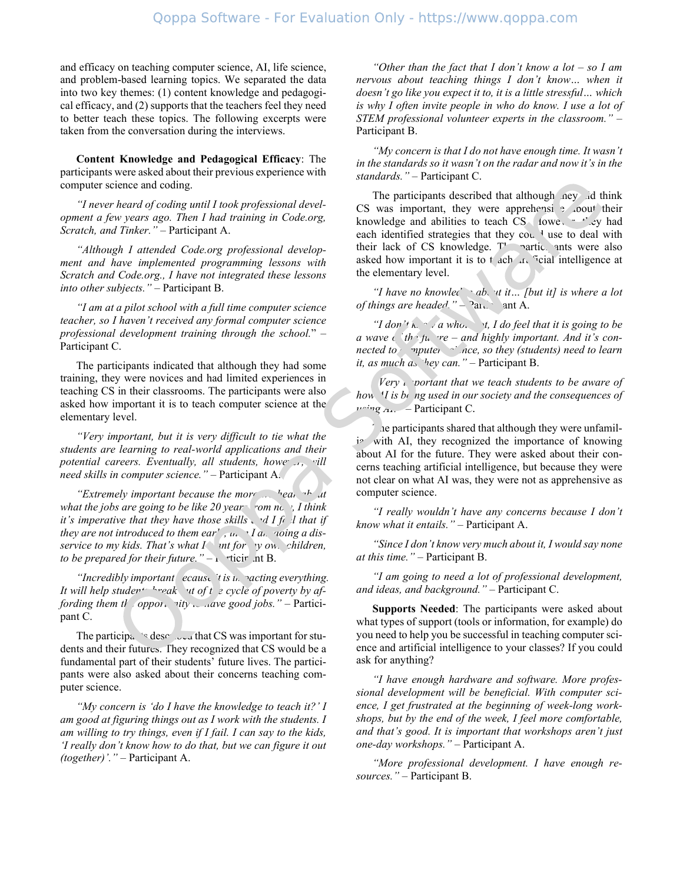and efficacy on teaching computer science, AI, life science, and problem-based learning topics. We separated the data into two key themes: (1) content knowledge and pedagogical efficacy, and (2) supports that the teachers feel they need to better teach these topics. The following excerpts were taken from the conversation during the interviews.

**Content Knowledge and Pedagogical Efficacy**: The participants were asked about their previous experience with computer science and coding.

*"I never heard of coding until I took professional development a few years ago. Then I had training in Code.org, Scratch, and Tinker."* – Participant A.

*"Although I attended Code.org professional development and have implemented programming lessons with Scratch and Code.org., I have not integrated these lessons into other subjects."* – Participant B.

*"I am at a pilot school with a full time computer science teacher, so I haven't received any formal computer science professional development training through the school.*" – Participant C.

The participants indicated that although they had some training, they were novices and had limited experiences in teaching CS in their classrooms. The participants were also asked how important it is to teach computer science at the elementary level.

*"Very important, but it is very difficult to tie what the students are learning to real-world applications and their potential careers. Eventually, all students, howe*  $\mu$ , will *need skills in computer science."* – Participant A.

*"Extremely important because the more*  $\ldots$  hear  $\lceil r \rceil$  at *what the jobs are going to be like 20 year* from no  $\cdot$ , *I think it's imperative that they have those skills*  $\cdot$  *d I feel that if they are not introduced to them ear',*  $\mu$ *,*  $I$  *a. voing a disservice to my kids. That's what I wat for yow. children, to be prepared for their future.*" $-1$   $\text{rticir}$  *nt* B.

*"Incredibly important ecause it is in vacting everything. It will help studer<sup>+-1-</sup>reak out of the cycle of poverty by affording them the opportunity to have good jobs." – Partici*pant C.

The participality described that CS was important for students and their futures. They recognized that CS would be a fundamental part of their students' future lives. The participants were also asked about their concerns teaching computer science.

*"My concern is 'do I have the knowledge to teach it?' I am good at figuring things out as I work with the students. I am willing to try things, even if I fail. I can say to the kids, 'I really don't know how to do that, but we can figure it out (together)'."* – Participant A.

*"Other than the fact that I don't know a lot – so I am nervous about teaching things I don't know… when it doesn't go like you expect it to, it is a little stressful… which is why I often invite people in who do know. I use a lot of STEM professional volunteer experts in the classroom."* – Participant B.

*"My concern is that I do not have enough time. It wasn't in the standards so it wasn't on the radar and now it's in the standards."* – Participant C.

The participants described that although ney did think CS was important, they were apprehensive about their knowledge and abilities to teach  $CS$  (fowe,  $\cdot$  +  $\cdot$  ey had each identified strategies that they cou.<sup>1</sup> use to deal with their lack of CS knowledge.  $T'$  participants were also asked how important it is to t ach  $\pi$ . Ficial intelligence at the elementary level.

*"I have no knowled about it... [but it] is where a lot of things are headed.*" –  $2a\ldots$  ant A.

*"I don't know a whole it, I do feel that it is going to be a* wave *c th fu*  $re$  – *and highly important. And it's connected to mputer since, so they (students) need to learn it, as much as 'hey can.*" – Participant B.

*Very i. portant that we teach students to be aware of how H is being used in our society and the consequences of using AI."* – Participant C.

he participants shared that although they were unfamilin with AI, they recognized the importance of knowing about AI for the future. They were asked about their concerns teaching artificial intelligence, but because they were not clear on what AI was, they were not as apprehensive as computer science.

*"I really wouldn't have any concerns because I don't know what it entails."* – Participant A.

*"Since I don't know very much about it, I would say none at this time."* – Participant B.

*"I am going to need a lot of professional development, and ideas, and background."* – Participant C.

**Supports Needed**: The participants were asked about what types of support (tools or information, for example) do you need to help you be successful in teaching computer science and artificial intelligence to your classes? If you could ask for anything?

*"I have enough hardware and software. More professional development will be beneficial. With computer science, I get frustrated at the beginning of week-long workshops, but by the end of the week, I feel more comfortable, and that's good. It is important that workshops aren't just one-day workshops."* – Participant A.

*"More professional development. I have enough resources."* – Participant B.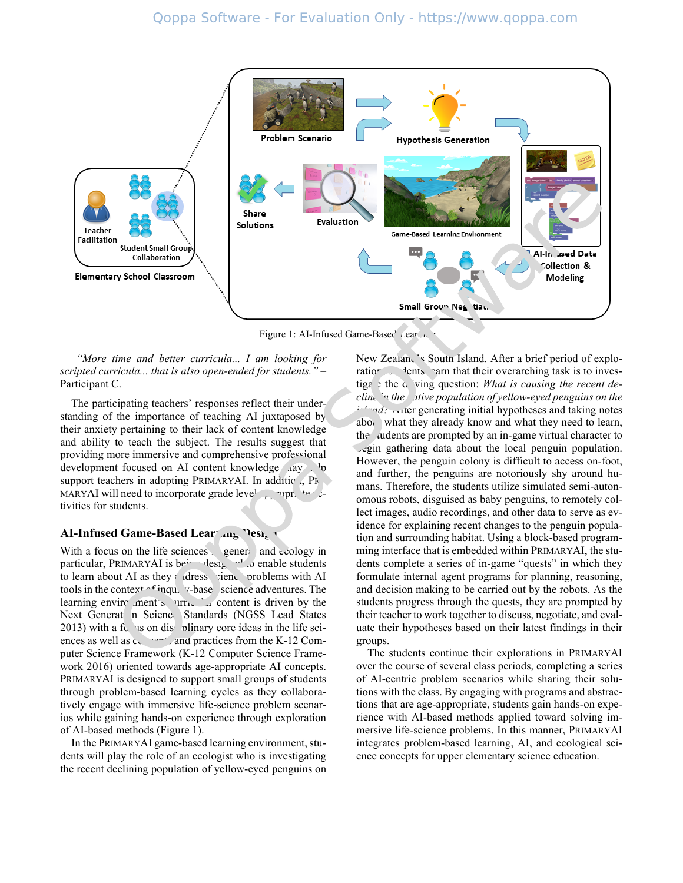

Figure 1: AI-Infused Game-Based Lear<sub>ning</sub>

*"More time and better curricula... I am looking for scripted curricula... that is also open-ended for students."* – Participant C.

The participating teachers' responses reflect their understanding of the importance of teaching AI juxtaposed by their anxiety pertaining to their lack of content knowledge and ability to teach the subject. The results suggest that providing more immersive and comprehensive professional development focused on AI content knowledge  $\Box$ ay  $\Box$ support teachers in adopting PRIMARYAI. In additic  $\Box$ , PR MARYAI will need to incorporate grade level approximate  $\mathcal{L}$ tivities for students.

## **AI-Infused Game-Based Learning Design**

With a focus on the life sciences general and ecology in particular, PRIMARYAI is being designed to enable students to learn about AI as they adress science problems with AI tools in the context  $\alpha$ <sup>f</sup> inqu. v-base science adventures. The learning environment's  $urr_{\text{max}}$  content is driven by the Next Generat in Science Standards (NGSS Lead States  $2013$ ) with a focus on discribinary core ideas in the life sciences as well as  $c_{\text{cm}}$  and practices from the K-12 Computer Science Framework (K-12 Computer Science Framework 2016) oriented towards age-appropriate AI concepts. PRIMARYAI is designed to support small groups of students through problem-based learning cycles as they collaboratively engage with immersive life-science problem scenarios while gaining hands-on experience through exploration of AI-based methods (Figure 1).

In the PRIMARYAI game-based learning environment, students will play the role of an ecologist who is investigating the recent declining population of yellow-eyed penguins on

New Zealan, 's South Island. After a brief period of exploration, students learn that their overarching task is to investiga  $\phi$  the  $\alpha$  ving question: *What is causing the recent decline in the ative population of yellow-eyed penguins on the*  $i<sup>1</sup>$  $nd$ ? After generating initial hypotheses and taking notes about what they already know and what they need to learn, the audents are prompted by an in-game virtual character to begin gathering data about the local penguin population. However, the penguin colony is difficult to access on-foot, and further, the penguins are notoriously shy around humans. Therefore, the students utilize simulated semi-autonomous robots, disguised as baby penguins, to remotely collect images, audio recordings, and other data to serve as evidence for explaining recent changes to the penguin population and surrounding habitat. Using a block-based programming interface that is embedded within PRIMARYAI, the students complete a series of in-game "quests" in which they formulate internal agent programs for planning, reasoning, and decision making to be carried out by the robots. As the students progress through the quests, they are prompted by their teacher to work together to discuss, negotiate, and evaluate their hypotheses based on their latest findings in their groups.

The students continue their explorations in PRIMARYAI over the course of several class periods, completing a series of AI-centric problem scenarios while sharing their solutions with the class. By engaging with programs and abstractions that are age-appropriate, students gain hands-on experience with AI-based methods applied toward solving immersive life-science problems. In this manner, PRIMARYAI integrates problem-based learning, AI, and ecological science concepts for upper elementary science education.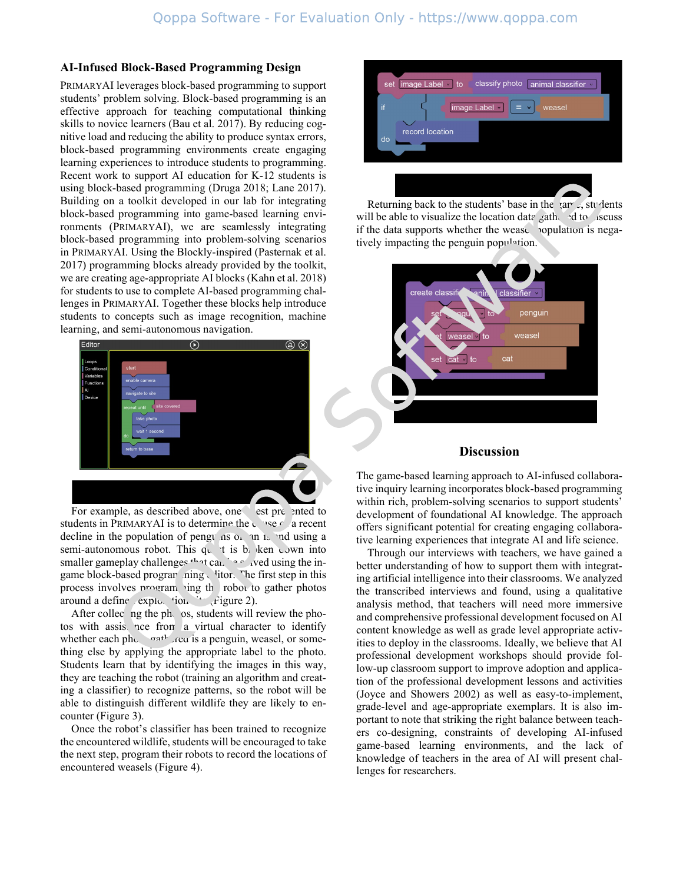#### **AI-Infused Block-Based Programming Design**

PRIMARYAI leverages block-based programming to support students' problem solving. Block-based programming is an effective approach for teaching computational thinking skills to novice learners (Bau et al. 2017). By reducing cognitive load and reducing the ability to produce syntax errors, block-based programming environments create engaging learning experiences to introduce students to programming. Recent work to support AI education for K-12 students is using block-based programming (Druga 2018; Lane 2017). Building on a toolkit developed in our lab for integrating block-based programming into game-based learning environments (PRIMARYAI), we are seamlessly integrating block-based programming into problem-solving scenarios in PRIMARYAI. Using the Blockly-inspired (Pasternak et al. 2017) programming blocks already provided by the toolkit, we are creating age-appropriate AI blocks (Kahn et al. 2018) for students to use to complete AI-based programming challenges in PRIMARYAI. Together these blocks help introduce students to concepts such as image recognition, machine learning, and semi-autonomous navigation.



For example, as described above, one est preented to students in PRIMARYAI is to determine the cause  $\epsilon$  a recent decline in the population of penguins on an island using a semi-autonomous robot. This quest is by ken down into smaller gameplay challenges  $t$  at can be solved using the ingame block-based programming vitor. The first step in this process involves  $pr\circ r$  ing the robot to gather photos around a define exploration site (Figure 2).

After collec  $ng$  the phose, students will review the photos with assistance from a virtual character to identify whether each photograph grad is a penguin, weasel, or something else by applying the appropriate label to the photo. Students learn that by identifying the images in this way, they are teaching the robot (training an algorithm and creating a classifier) to recognize patterns, so the robot will be able to distinguish different wildlife they are likely to encounter (Figure 3).

Once the robot's classifier has been trained to recognize the encountered wildlife, students will be encouraged to take the next step, program their robots to record the locations of encountered weasels (Figure 4).



Returning back to the students' base in the game, students will be able to visualize the location data gathered to discuss if the data supports whether the wease population is negatively impacting the penguin population.



## **Discussion**

The game-based learning approach to AI-infused collaborative inquiry learning incorporates block-based programming within rich, problem-solving scenarios to support students' development of foundational AI knowledge. The approach offers significant potential for creating engaging collaborative learning experiences that integrate AI and life science.

Through our interviews with teachers, we have gained a better understanding of how to support them with integrating artificial intelligence into their classrooms. We analyzed the transcribed interviews and found, using a qualitative analysis method, that teachers will need more immersive and comprehensive professional development focused on AI content knowledge as well as grade level appropriate activities to deploy in the classrooms. Ideally, we believe that AI professional development workshops should provide follow-up classroom support to improve adoption and application of the professional development lessons and activities (Joyce and Showers 2002) as well as easy-to-implement, grade-level and age-appropriate exemplars. It is also important to note that striking the right balance between teachers co-designing, constraints of developing AI-infused game-based learning environments, and the lack of knowledge of teachers in the area of AI will present challenges for researchers.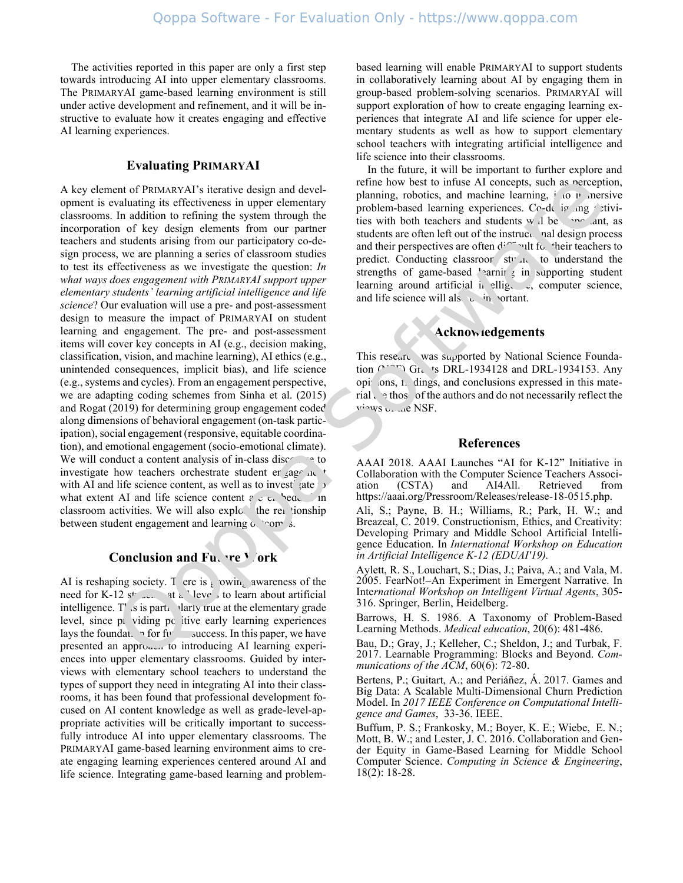The activities reported in this paper are only a first step towards introducing AI into upper elementary classrooms. The PRIMARYAI game-based learning environment is still under active development and refinement, and it will be instructive to evaluate how it creates engaging and effective AI learning experiences.

## **Evaluating PRIMARYAI**

A key element of PRIMARYAI's iterative design and development is evaluating its effectiveness in upper elementary classrooms. In addition to refining the system through the incorporation of key design elements from our partner teachers and students arising from our participatory co-design process, we are planning a series of classroom studies to test its effectiveness as we investigate the question: *In what ways does engagement with PRIMARYAI support upper elementary students' learning artificial intelligence and life science*? Our evaluation will use a pre- and post-assessment design to measure the impact of PRIMARYAI on student learning and engagement. The pre- and post-assessment items will cover key concepts in AI (e.g., decision making, classification, vision, and machine learning), AI ethics (e.g., unintended consequences, implicit bias), and life science (e.g., systems and cycles). From an engagement perspective, we are adapting coding schemes from Sinha et al. (2015) and Rogat (2019) for determining group engagement coded along dimensions of behavioral engagement (on-task participation), social engagement (responsive, equitable coordination), and emotional engagement (socio-emotional climate). We will conduct a content analysis of in-class discourse to investigate how teachers orchestrate student er gage in with AI and life science content, as well as to invest gate what extent AI and life science content  $\epsilon \neq \epsilon$ . bedded in classroom activities. We will also explore the relationship between student engagement and learning  $\alpha$  'comes.

## **Conclusion and Future Work**

AI is reshaping society. There is  $\frac{1}{2}$  owin, awareness of the need for K-12 st  $\ldots$  at all levels to learn about artificial intelligence.  $T'$  is is particularly true at the elementary grade level, since  $p_1$  viding positive early learning experiences lays the foundation for future success. In this paper, we have presented an approach to introducing AI learning experiences into upper elementary classrooms. Guided by interviews with elementary school teachers to understand the types of support they need in integrating AI into their classrooms, it has been found that professional development focused on AI content knowledge as well as grade-level-appropriate activities will be critically important to successfully introduce AI into upper elementary classrooms. The PRIMARYAI game-based learning environment aims to create engaging learning experiences centered around AI and life science. Integrating game-based learning and problem-

based learning will enable PRIMARYAI to support students in collaboratively learning about AI by engaging them in group-based problem-solving scenarios. PRIMARYAI will support exploration of how to create engaging learning experiences that integrate AI and life science for upper elementary students as well as how to support elementary school teachers with integrating artificial intelligence and life science into their classrooms.

In the future, it will be important to further explore and refine how best to infuse AI concepts, such as perception, planning, robotics, and machine learning,  $\hat{i}$  to immersive problem-based learning experiences. Co-designing activities with both teachers and students will be important, as students are often left out of the instructional design process and their perspectives are often  $d^{f \uparrow \sim}$  ult for their teachers to predict. Conducting classroom studies to understand the strengths of game-based  $\ell$  arning in supporting student learning around artificial in elligence, computer science, and life science will als  $\epsilon$  in vortant.

# **Acknowledgements**

This research was supported by National Science Foundation  $(2.77)$  Gr. ts DRL-1934128 and DRL-1934153. Any opinions, t. dings, and conclusions expressed in this material  $\cdot$  e thos of the authors and do not necessarily reflect the  $v_i$ <sup>iews  $v_{i+1}$ e NSF.</sup>

#### **References**

AAAI 2018. AAAI Launches "AI for K-12" Initiative in Collaboration with the Computer Science Teachers Associ-Retrieved https://aaai.org/Pressroom/Releases/release-18-0515.php.

Ali, S.; Payne, B. H.; Williams, R.; Park, H. W.; and Breazeal, C. 2019. Constructionism, Ethics, and Creativity: Developing Primary and Middle School Artificial Intelligence Education. In *International Workshop on Education in Artificial Intelligence K-12 (EDUAI'19).*

Aylett, R. S., Louchart, S.; Dias, J.; Paiva, A.; and Vala, M. 2005. FearNot!–An Experiment in Emergent Narrative. In Inte*rnational Workshop on Intelligent Virtual Agents*, 305- 316. Springer, Berlin, Heidelberg.

Barrows, H. S. 1986. A Taxonomy of Problem‐Based Learning Methods. *Medical education*, 20(6): 481-486.

Bau, D.; Gray, J.; Kelleher, C.; Sheldon, J.; and Turbak, F. 2017. Learnable Programming: Blocks and Beyond. *Communications of the ACM*, 60(6): 72-80.

Bertens, P.; Guitart, A.; and Periáñez, Á. 2017. Games and Big Data: A Scalable Multi-Dimensional Churn Prediction Model. In *2017 IEEE Conference on Computational Intelligence and Games*, 33-36. IEEE.

Buffum, P. S.; Frankosky, M.; Boyer, K. E.; Wiebe, E. N.; Mott, B. W.; and Lester, J. C. 2016. Collaboration and Gender Equity in Game-Based Learning for Middle School Computer Science. *Computing in Science & Engineering*, 18(2): 18-28.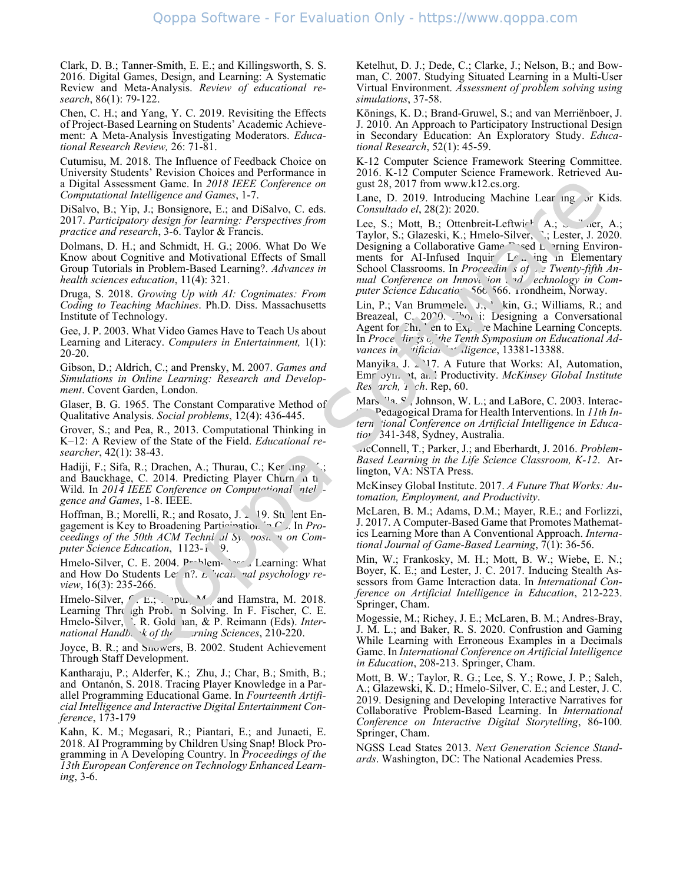Clark, D. B.; Tanner-Smith, E. E.; and Killingsworth, S. S. 2016. Digital Games, Design, and Learning: A Systematic Review and Meta-Analysis. *Review of educational research*, 86(1): 79-122.

Chen, C. H.; and Yang, Y. C. 2019. Revisiting the Effects of Project-Based Learning on Students' Academic Achievement: A Meta-Analysis Investigating Moderators. *Educational Research Review,* 26: 71-81.

Cutumisu, M. 2018. The Influence of Feedback Choice on University Students' Revision Choices and Performance in a Digital Assessment Game. In *2018 IEEE Conference on Computational Intelligence and Games*, 1-7.

DiSalvo, B.; Yip, J.; Bonsignore, E.; and DiSalvo, C. eds. 2017. *Participatory design for learning: Perspectives from practice and research*, 3-6. Taylor & Francis.

Dolmans, D. H.; and Schmidt, H. G.; 2006. What Do We Know about Cognitive and Motivational Effects of Small Group Tutorials in Problem-Based Learning?. *Advances in health sciences education*, 11(4): 321.

Druga, S. 2018. *Growing Up with AI: Cognimates: From Coding to Teaching Machines*. Ph.D. Diss. Massachusetts Institute of Technology.

Gee, J. P. 2003. What Video Games Have to Teach Us about Learning and Literacy. *Computers in Entertainment,* 1(1): 20-20.

Gibson, D.; Aldrich, C.; and Prensky, M. 2007. *Games and Simulations in Online Learning: Research and Development*. Covent Garden, London.

Glaser, B. G. 1965. The Constant Comparative Method of Qualitative Analysis. *Social problems*, 12(4): 436-445.

Grover, S.; and Pea, R., 2013. Computational Thinking in K–12: A Review of the State of the Field. *Educational researcher*, 42(1): 38-43.

Hadiji, F.; Sifa, R.; Drachen, A.; Thurau, C.; Ker ang, K.; and Bauckhage, C. 2014. Predicting Player Churn in the Wild. In 2014 IEEE Conference on Computational intel *gence and Games*, 1-8. IEEE.

Hoffman, B.; Morelli, R.; and Rosato, J. 2019. Student Engagement is Key to Broadening Participation in C. In *Proceedings of the 50th ACM Techni al Sy. post. n on Computer Science Education*, 1123-1<sup>9</sup>.

Hmelo-Silver, C. E. 2004.  $P^{-1}$ -lem-Based Learning: What and How Do Students Le<sup>r</sup> n?. *L* '*vcan*, *nal psychology review*, 16(3): 235-266.

Hmelo-Silver,  $\sim$  E.; You, M. and Hamstra, M. 2018. Learning Through Prob. n Solving. In F. Fischer, C. E. Hmelo-Silver, F. R. Goldman, & P. Reimann (Eds). *Inter-*<br>*national Handb*, k of the *raing Sciences*, 210-220. *national Handbook of the Learning Sciences*, 210-220.

Joyce, B. R.; and Snowers, B. 2002. Student Achievement Through Staff Development.

Kantharaju, P.; Alderfer, K.; Zhu, J.; Char, B.; Smith, B.; and Ontanón, S. 2018. Tracing Player Knowledge in a Parallel Programming Educational Game. In *Fourteenth Artificial Intelligence and Interactive Digital Entertainment Conference*, 173-179

Kahn, K. M.; Megasari, R.; Piantari, E.; and Junaeti, E. 2018. AI Programming by Children Using Snap! Block Programming in A Developing Country. In *Proceedings of the 13th European Conference on Technology Enhanced Learning*, 3-6.

Ketelhut, D. J.; Dede, C.; Clarke, J.; Nelson, B.; and Bowman, C. 2007. Studying Situated Learning in a Multi-User Virtual Environment. *Assessment of problem solving using simulations*, 37-58.

Könings, K. D.; Brand-Gruwel, S.; and van Merriënboer, J. J. 2010. An Approach to Participatory Instructional Design in Secondary Education: An Exploratory Study. *Educational Research*, 52(1): 45-59.

K-12 Computer Science Framework Steering Committee. 2016. K-12 Computer Science Framework. Retrieved August 28, 2017 from www.k12.cs.org.

Lane, D. 2019. Introducing Machine Lear ing or Kids. *Consultado el*, 28(2): 2020.

Lee, S.; Mott, B.; Ottenbreit-Leftwick  $(A, \ldots)$  a.g., A.; Taylor, S.; Glazeski, K.; Hmelo-Silver, N.; Lester, J. 2020. Designing a Collaborative Game  $\Gamma$  sed L arning Environments for AI-Infused Inquir  $L_f$  ing in Elementary School Classrooms. In *Proceedin* s of  $\overline{z}$  Twenty-fifth An*nual Conference on Innova ion and echnology in Computer Science Educatio* 566-566. Trondheim, Norway.

Lin, P.; Van Brummelen, J., kin, G.; Williams, R.; and Breazeal, C. 20 $\degree$ 0.  $\degree$  i: Designing a Conversational Agent for  $\mathbb{C}\text{h}$ . ' en to  $\mathrm{Ex}_{1}$   $\ldots$  e Machine Learning Concepts. In *Proce* dir 3s  $\epsilon$ , the Tenth Symposium on Educational Ad*vances in fificial Intelligence*, 13381-13388.

Manyika, J.  $\geq$  17. A Future that Works: AI, Automation, Emr<sup>o</sup>yn, *t, and Productivity. McKinsey Global Institute Res arch*, *i ch*. Rep, 60.

Marsella, S., Johnson, W. L.; and LaBore, C. 2003. Interac-Pedagogical Drama for Health Interventions. In *11th In*tern 'ional Conference on Artificial Intelligence in Educa*tion*, 341-348, Sydney, Australia.

McConnell, T.; Parker, J.; and Eberhardt, J. 2016. *Problem-Based Learning in the Life Science Classroom, K-12*. Arlington, VA: NSTA Press.

McKinsey Global Institute. 2017. *A Future That Works: Automation, Employment, and Productivity*.

McLaren, B. M.; Adams, D.M.; Mayer, R.E.; and Forlizzi, J. 2017. A Computer-Based Game that Promotes Mathematics Learning More than A Conventional Approach. *International Journal of Game-Based Learning*, 7(1): 36-56.

Min, W.; Frankosky, M. H.; Mott, B. W.; Wiebe, E. N.; Boyer, K. E.; and Lester, J. C. 2017. Inducing Stealth Assessors from Game Interaction data. In *International Conference on Artificial Intelligence in Education*, 212-223. Springer, Cham.

Mogessie, M.; Richey, J. E.; McLaren, B. M.; Andres-Bray, J. M. L.; and Baker, R. S. 2020. Confrustion and Gaming While Learning with Erroneous Examples in a Decimals Game. In *International Conference on Artificial Intelligence in Education*, 208-213. Springer, Cham.

Mott, B. W.; Taylor, R. G.; Lee, S. Y.; Rowe, J. P.; Saleh, A.; Glazewski, K. D.; Hmelo-Silver, C. E.; and Lester, J. C. 2019. Designing and Developing Interactive Narratives for Collaborative Problem-Based Learning. In *International Conference on Interactive Digital Storytelling*, 86-100. Springer, Cham.

NGSS Lead States 2013. *Next Generation Science Standards*. Washington, DC: The National Academies Press.